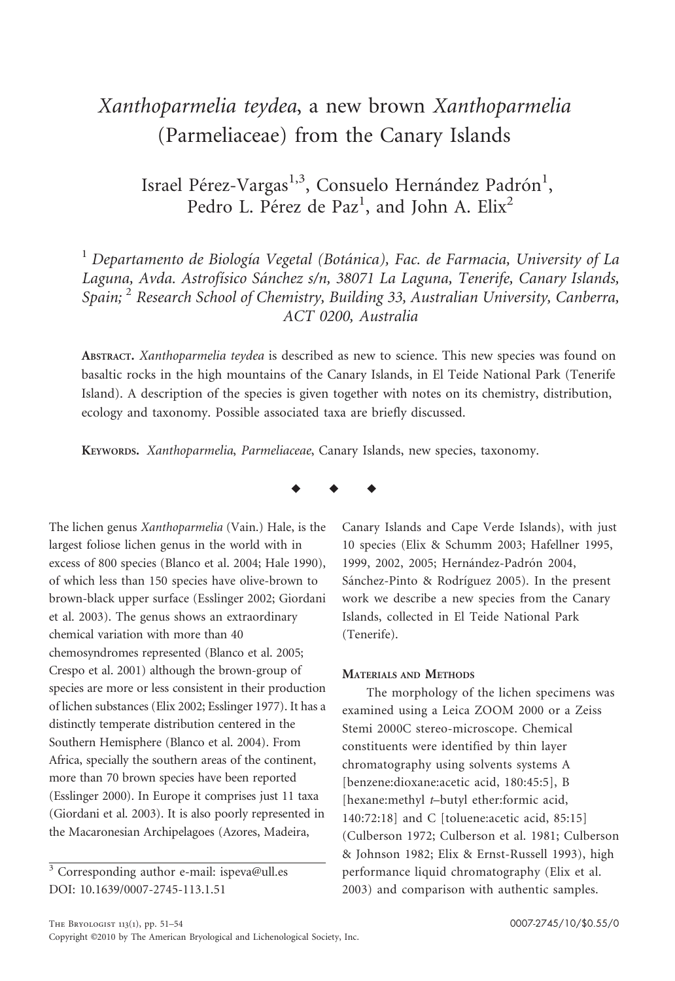# Xanthoparmelia teydea, a new brown Xanthoparmelia (Parmeliaceae) from the Canary Islands

Israel Pérez-Vargas<sup>1,3</sup>, Consuelo Hernández Padrón<sup>1</sup>, Pedro L. Pérez de Paz<sup>1</sup>, and John A. Elix<sup>2</sup>

 $<sup>1</sup>$  Departamento de Biología Vegetal (Botánica), Fac. de Farmacia, University of La</sup> Laguna, Avda. Astrofísico Sánchez s/n, 38071 La Laguna, Tenerife, Canary Islands, Spain;  $2$  Research School of Chemistry, Building 33, Australian University, Canberra, ACT 0200, Australia

ABSTRACT. Xanthoparmelia teydea is described as new to science. This new species was found on basaltic rocks in the high mountains of the Canary Islands, in El Teide National Park (Tenerife Island). A description of the species is given together with notes on its chemistry, distribution, ecology and taxonomy. Possible associated taxa are briefly discussed.

KEYWORDS. Xanthoparmelia, Parmeliaceae, Canary Islands, new species, taxonomy.

The lichen genus Xanthoparmelia (Vain.) Hale, is the largest foliose lichen genus in the world with in excess of 800 species (Blanco et al. 2004; Hale 1990), of which less than 150 species have olive-brown to brown-black upper surface (Esslinger 2002; Giordani et al. 2003). The genus shows an extraordinary chemical variation with more than 40 chemosyndromes represented (Blanco et al. 2005; Crespo et al. 2001) although the brown-group of species are more or less consistent in their production of lichen substances (Elix 2002; Esslinger 1977). It has a distinctly temperate distribution centered in the Southern Hemisphere (Blanco et al. 2004). From Africa, specially the southern areas of the continent, more than 70 brown species have been reported (Esslinger 2000). In Europe it comprises just 11 taxa (Giordani et al. 2003). It is also poorly represented in the Macaronesian Archipelagoes (Azores, Madeira,



Canary Islands and Cape Verde Islands), with just 10 species (Elix & Schumm 2003; Hafellner 1995, 1999, 2002, 2005; Hernández-Padrón 2004, Sánchez-Pinto & Rodríguez 2005). In the present work we describe a new species from the Canary Islands, collected in El Teide National Park (Tenerife).

### MATERIALS AND METHODS

The morphology of the lichen specimens was examined using a Leica ZOOM 2000 or a Zeiss Stemi 2000C stereo-microscope. Chemical constituents were identified by thin layer chromatography using solvents systems A [benzene:dioxane:acetic acid, 180:45:5], B [hexane:methyl t-butyl ether:formic acid, 140:72:18] and C [toluene:acetic acid, 85:15] (Culberson 1972; Culberson et al. 1981; Culberson & Johnson 1982; Elix & Ernst-Russell 1993), high performance liquid chromatography (Elix et al. 2003) and comparison with authentic samples.

 $\frac{3}{3}$  Corresponding author e-mail: ispeva@ull.es DOI: 10.1639/0007-2745-113.1.51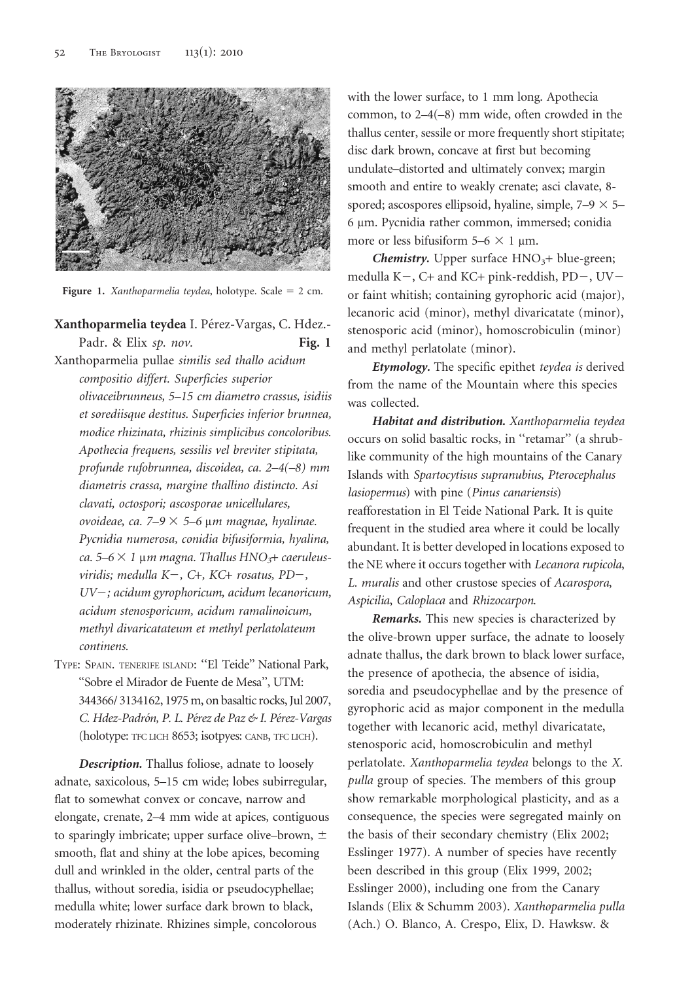

Figure 1. Xanthoparmelia teydea, holotype. Scale =  $2$  cm.

## Xanthoparmelia teydea I. Pérez-Vargas, C. Hdez.-Padr. & Elix sp. nov. Fig. 1

Xanthoparmelia pullae similis sed thallo acidum compositio differt. Superficies superior olivaceibrunneus, 5–15 cm diametro crassus, isidiis et sorediisque destitus. Superficies inferior brunnea, modice rhizinata, rhizinis simplicibus concoloribus. Apothecia frequens, sessilis vel breviter stipitata, profunde rufobrunnea, discoidea, ca. 2–4(–8) mm diametris crassa, margine thallino distincto. Asi clavati, octospori; ascosporae unicellulares, ovoideae, ca. 7–9  $\times$  5–6 µm magnae, hyalinae. Pycnidia numerosa, conidia bifusiformia, hyalina, ca. 5–6  $\times$  1 µm magna. Thallus HNO<sub>3</sub>+ caeruleusviridis; medulla  $K-$ , C+, KC+ rosatus, PD-, UV-; acidum gyrophoricum, acidum lecanoricum, acidum stenosporicum, acidum ramalinoicum, methyl divaricatateum et methyl perlatolateum continens.

TYPE: SPAIN. TENERIFE ISLAND: ''El Teide'' National Park, ''Sobre el Mirador de Fuente de Mesa'', UTM: 344366/ 3134162, 1975 m, on basaltic rocks, Jul 2007, C. Hdez-Padrón, P. L. Pérez de Paz & I. Pérez-Vargas (holotype: TFC LICH 8653; isotpyes: CANB, TFC LICH).

Description. Thallus foliose, adnate to loosely adnate, saxicolous, 5–15 cm wide; lobes subirregular, flat to somewhat convex or concave, narrow and elongate, crenate, 2–4 mm wide at apices, contiguous to sparingly imbricate; upper surface olive–brown,  $\pm$ smooth, flat and shiny at the lobe apices, becoming dull and wrinkled in the older, central parts of the thallus, without soredia, isidia or pseudocyphellae; medulla white; lower surface dark brown to black, moderately rhizinate. Rhizines simple, concolorous

with the lower surface, to 1 mm long. Apothecia common, to 2–4(–8) mm wide, often crowded in the thallus center, sessile or more frequently short stipitate; disc dark brown, concave at first but becoming undulate–distorted and ultimately convex; margin smooth and entire to weakly crenate; asci clavate, 8 spored; ascospores ellipsoid, hyaline, simple,  $7-9 \times 5-$ 6 µm. Pycnidia rather common, immersed; conidia more or less bifusiform  $5-6 \times 1$  µm.

**Chemistry.** Upper surface  $HNO<sub>3</sub>+ blue-green;$ medulla K-, C+ and KC+ pink-reddish,  $PD-$ ,  $UV$ or faint whitish; containing gyrophoric acid (major), lecanoric acid (minor), methyl divaricatate (minor), stenosporic acid (minor), homoscrobiculin (minor) and methyl perlatolate (minor).

Etymology. The specific epithet teydea is derived from the name of the Mountain where this species was collected.

Habitat and distribution. Xanthoparmelia teydea occurs on solid basaltic rocks, in ''retamar'' (a shrublike community of the high mountains of the Canary Islands with Spartocytisus supranubius, Pterocephalus lasiopermus) with pine (Pinus canariensis) reafforestation in El Teide National Park. It is quite frequent in the studied area where it could be locally abundant. It is better developed in locations exposed to the NE where it occurs together with Lecanora rupicola, L. muralis and other crustose species of Acarospora, Aspicilia, Caloplaca and Rhizocarpon.

Remarks. This new species is characterized by the olive-brown upper surface, the adnate to loosely adnate thallus, the dark brown to black lower surface, the presence of apothecia, the absence of isidia, soredia and pseudocyphellae and by the presence of gyrophoric acid as major component in the medulla together with lecanoric acid, methyl divaricatate, stenosporic acid, homoscrobiculin and methyl perlatolate. Xanthoparmelia teydea belongs to the X. pulla group of species. The members of this group show remarkable morphological plasticity, and as a consequence, the species were segregated mainly on the basis of their secondary chemistry (Elix 2002; Esslinger 1977). A number of species have recently been described in this group (Elix 1999, 2002; Esslinger 2000), including one from the Canary Islands (Elix & Schumm 2003). Xanthoparmelia pulla (Ach.) O. Blanco, A. Crespo, Elix, D. Hawksw. &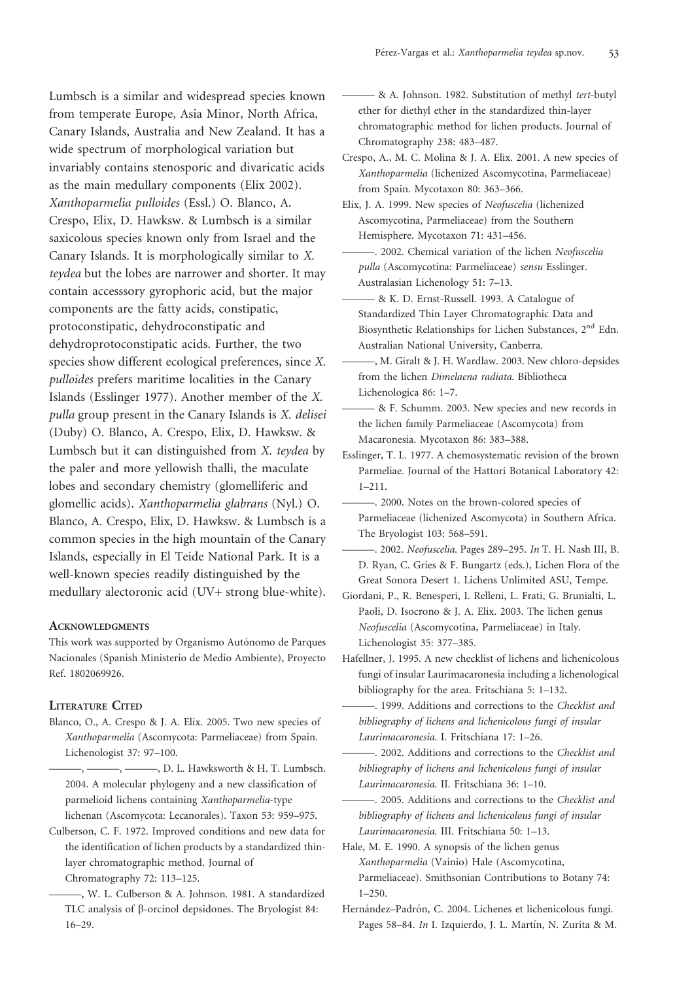Lumbsch is a similar and widespread species known from temperate Europe, Asia Minor, North Africa, Canary Islands, Australia and New Zealand. It has a wide spectrum of morphological variation but invariably contains stenosporic and divaricatic acids as the main medullary components (Elix 2002). Xanthoparmelia pulloides (Essl.) O. Blanco, A. Crespo, Elix, D. Hawksw. & Lumbsch is a similar saxicolous species known only from Israel and the Canary Islands. It is morphologically similar to X. teydea but the lobes are narrower and shorter. It may contain accesssory gyrophoric acid, but the major components are the fatty acids, constipatic, protoconstipatic, dehydroconstipatic and dehydroprotoconstipatic acids. Further, the two species show different ecological preferences, since X. pulloides prefers maritime localities in the Canary Islands (Esslinger 1977). Another member of the X. pulla group present in the Canary Islands is X. delisei (Duby) O. Blanco, A. Crespo, Elix, D. Hawksw. & Lumbsch but it can distinguished from X. teydea by the paler and more yellowish thalli, the maculate lobes and secondary chemistry (glomelliferic and glomellic acids). Xanthoparmelia glabrans (Nyl.) O. Blanco, A. Crespo, Elix, D. Hawksw. & Lumbsch is a common species in the high mountain of the Canary Islands, especially in El Teide National Park. It is a well-known species readily distinguished by the medullary alectoronic acid (UV+ strong blue-white).

#### **ACKNOWLEDGMENTS**

This work was supported by Organismo Autónomo de Parques Nacionales (Spanish Ministerio de Medio Ambiente), Proyecto Ref. 1802069926.

### LITERATURE CITED

- Blanco, O., A. Crespo & J. A. Elix. 2005. Two new species of Xanthoparmelia (Ascomycota: Parmeliaceae) from Spain. Lichenologist 37: 97–100.
	- -, ———, D. L. Hawksworth & H. T. Lumbsch. 2004. A molecular phylogeny and a new classification of parmelioid lichens containing Xanthoparmelia-type lichenan (Ascomycota: Lecanorales). Taxon 53: 959–975.
- Culberson, C. F. 1972. Improved conditions and new data for the identification of lichen products by a standardized thinlayer chromatographic method. Journal of Chromatography 72: 113–125.
	- ———, W. L. Culberson & A. Johnson. 1981. A standardized TLC analysis of b-orcinol depsidones. The Bryologist 84: 16–29.

- & A. Johnson. 1982. Substitution of methyl tert-butyl ether for diethyl ether in the standardized thin-layer chromatographic method for lichen products. Journal of Chromatography 238: 483–487.

- Crespo, A., M. C. Molina & J. A. Elix. 2001. A new species of Xanthoparmelia (lichenized Ascomycotina, Parmeliaceae) from Spain. Mycotaxon 80: 363–366.
- Elix, J. A. 1999. New species of Neofuscelia (lichenized Ascomycotina, Parmeliaceae) from the Southern Hemisphere. Mycotaxon 71: 431–456.
	- -. 2002. Chemical variation of the lichen Neofuscelia pulla (Ascomycotina: Parmeliaceae) sensu Esslinger. Australasian Lichenology 51: 7–13.
	- & K. D. Ernst-Russell. 1993. A Catalogue of Standardized Thin Layer Chromatographic Data and Biosynthetic Relationships for Lichen Substances, 2nd Edn. Australian National University, Canberra.
	- ———, M. Giralt & J. H. Wardlaw. 2003. New chloro-depsides from the lichen Dimelaena radiata. Bibliotheca Lichenologica 86: 1–7.
	- & F. Schumm. 2003. New species and new records in the lichen family Parmeliaceae (Ascomycota) from Macaronesia. Mycotaxon 86: 383–388.
- Esslinger, T. L. 1977. A chemosystematic revision of the brown Parmeliae. Journal of the Hattori Botanical Laboratory 42: 1–211.
	- ———. 2000. Notes on the brown-colored species of Parmeliaceae (lichenized Ascomycota) in Southern Africa. The Bryologist 103: 568–591.
	- -. 2002. Neofuscelia. Pages 289-295. In T. H. Nash III, B. D. Ryan, C. Gries & F. Bungartz (eds.), Lichen Flora of the Great Sonora Desert 1. Lichens Unlimited ASU, Tempe.
- Giordani, P., R. Benesperi, I. Relleni, L. Frati, G. Brunialti, L. Paoli, D. Isocrono & J. A. Elix. 2003. The lichen genus Neofuscelia (Ascomycotina, Parmeliaceae) in Italy. Lichenologist 35: 377–385.
- Hafellner, J. 1995. A new checklist of lichens and lichenicolous fungi of insular Laurimacaronesia including a lichenological bibliography for the area. Fritschiana 5: 1–132.
- ———. 1999. Additions and corrections to the Checklist and bibliography of lichens and lichenicolous fungi of insular Laurimacaronesia. I. Fritschiana 17: 1–26.
- -. 2002. Additions and corrections to the Checklist and bibliography of lichens and lichenicolous fungi of insular Laurimacaronesia. II. Fritschiana 36: 1–10.
- -. 2005. Additions and corrections to the Checklist and bibliography of lichens and lichenicolous fungi of insular Laurimacaronesia. III. Fritschiana 50: 1–13.
- Hale, M. E. 1990. A synopsis of the lichen genus Xanthoparmelia (Vainio) Hale (Ascomycotina, Parmeliaceae). Smithsonian Contributions to Botany 74: 1–250.
- Hernández–Padrón, C. 2004. Lichenes et lichenicolous fungi. Pages 58–84. In I. Izquierdo, J. L. Martín, N. Zurita & M.